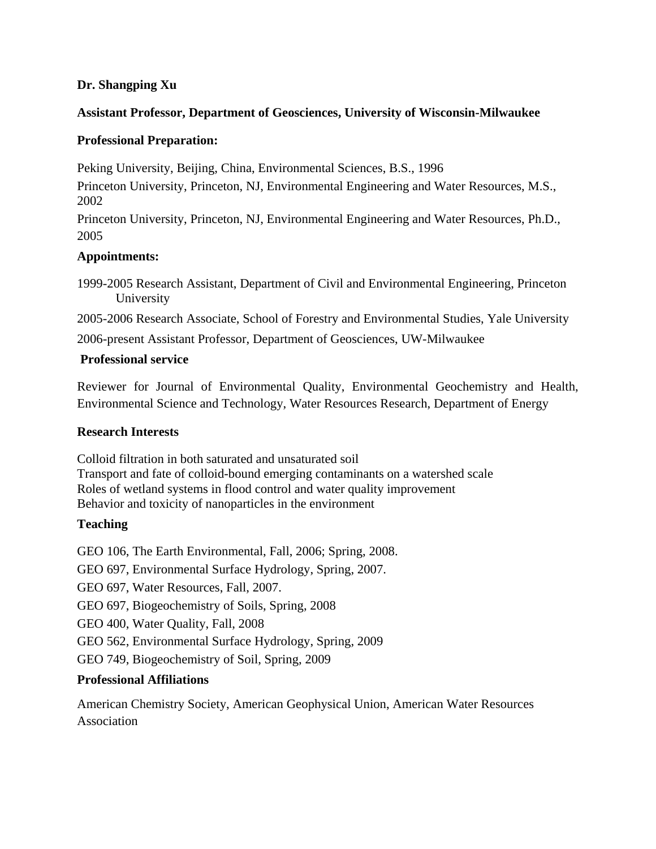## **Dr. Shangping Xu**

## **Assistant Professor, Department of Geosciences, University of Wisconsin-Milwaukee**

## **Professional Preparation:**

Peking University, Beijing, China, Environmental Sciences, B.S., 1996

Princeton University, Princeton, NJ, Environmental Engineering and Water Resources, M.S., 2002

Princeton University, Princeton, NJ, Environmental Engineering and Water Resources, Ph.D., 2005

# **Appointments:**

1999-2005 Research Assistant, Department of Civil and Environmental Engineering, Princeton University

2005-2006 Research Associate, School of Forestry and Environmental Studies, Yale University

2006-present Assistant Professor, Department of Geosciences, UW-Milwaukee

## **Professional service**

Reviewer for Journal of Environmental Quality, Environmental Geochemistry and Health, Environmental Science and Technology, Water Resources Research, Department of Energy

### **Research Interests**

Colloid filtration in both saturated and unsaturated soil Transport and fate of colloid-bound emerging contaminants on a watershed scale Roles of wetland systems in flood control and water quality improvement Behavior and toxicity of nanoparticles in the environment

# **Teaching**

GEO 106, The Earth Environmental, Fall, 2006; Spring, 2008.

GEO 697, Environmental Surface Hydrology, Spring, 2007.

GEO 697, Water Resources, Fall, 2007.

GEO 697, Biogeochemistry of Soils, Spring, 2008

GEO 400, Water Quality, Fall, 2008

GEO 562, Environmental Surface Hydrology, Spring, 2009

GEO 749, Biogeochemistry of Soil, Spring, 2009

# **Professional Affiliations**

American Chemistry Society, American Geophysical Union, American Water Resources Association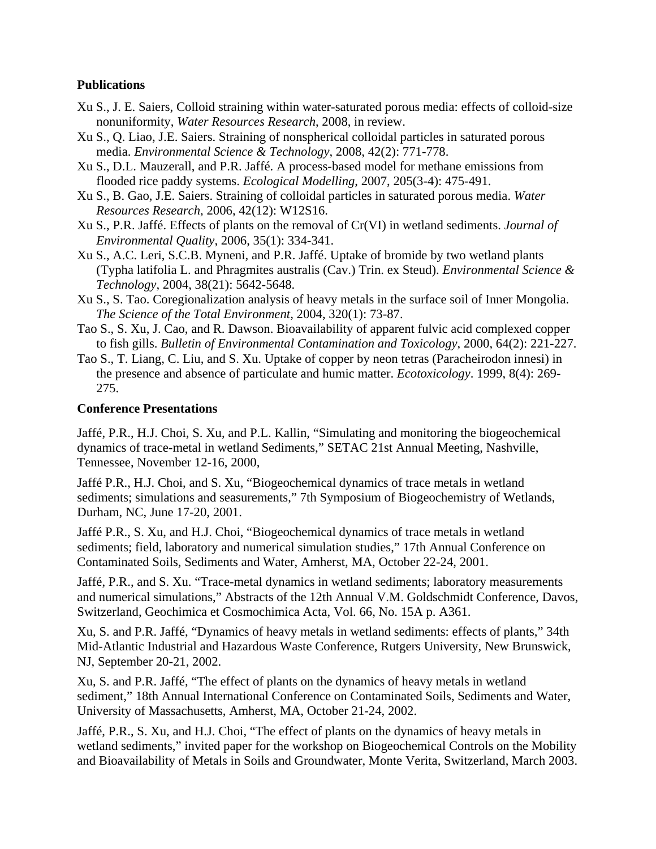### **Publications**

- Xu S., J. E. Saiers, Colloid straining within water-saturated porous media: effects of colloid-size nonuniformity, *Water Resources Research*, 2008, in review.
- Xu S., Q. Liao, J.E. Saiers. Straining of nonspherical colloidal particles in saturated porous media. *Environmental Science & Technology*, 2008, 42(2): 771-778.
- Xu S., D.L. Mauzerall, and P.R. Jaffé. A process-based model for methane emissions from flooded rice paddy systems. *Ecological Modelling*, 2007, 205(3-4): 475-491.
- Xu S., B. Gao, J.E. Saiers. Straining of colloidal particles in saturated porous media. *Water Resources Research*, 2006, 42(12): W12S16.
- Xu S., P.R. Jaffé. Effects of plants on the removal of Cr(VI) in wetland sediments. *Journal of Environmental Quality*, 2006, 35(1): 334-341.
- Xu S., A.C. Leri, S.C.B. Myneni, and P.R. Jaffé. Uptake of bromide by two wetland plants (Typha latifolia L. and Phragmites australis (Cav.) Trin. ex Steud). *Environmental Science & Technology*, 2004, 38(21): 5642-5648.
- Xu S., S. Tao. Coregionalization analysis of heavy metals in the surface soil of Inner Mongolia. *The Science of the Total Environment*, 2004, 320(1): 73-87.
- Tao S., S. Xu, J. Cao, and R. Dawson. Bioavailability of apparent fulvic acid complexed copper to fish gills. *Bulletin of Environmental Contamination and Toxicology*, 2000, 64(2): 221-227.
- Tao S., T. Liang, C. Liu, and S. Xu. Uptake of copper by neon tetras (Paracheirodon innesi) in the presence and absence of particulate and humic matter. *Ecotoxicology*. 1999, 8(4): 269- 275.

#### **Conference Presentations**

Jaffé, P.R., H.J. Choi, S. Xu, and P.L. Kallin, "Simulating and monitoring the biogeochemical dynamics of trace-metal in wetland Sediments," SETAC 21st Annual Meeting, Nashville, Tennessee, November 12-16, 2000,

Jaffé P.R., H.J. Choi, and S. Xu, "Biogeochemical dynamics of trace metals in wetland sediments; simulations and seasurements," 7th Symposium of Biogeochemistry of Wetlands, Durham, NC, June 17-20, 2001.

Jaffé P.R., S. Xu, and H.J. Choi, "Biogeochemical dynamics of trace metals in wetland sediments; field, laboratory and numerical simulation studies," 17th Annual Conference on Contaminated Soils, Sediments and Water, Amherst, MA, October 22-24, 2001.

Jaffé, P.R., and S. Xu. "Trace-metal dynamics in wetland sediments; laboratory measurements and numerical simulations," Abstracts of the 12th Annual V.M. Goldschmidt Conference, Davos, Switzerland, Geochimica et Cosmochimica Acta, Vol. 66, No. 15A p. A361.

Xu, S. and P.R. Jaffé, "Dynamics of heavy metals in wetland sediments: effects of plants," 34th Mid-Atlantic Industrial and Hazardous Waste Conference, Rutgers University, New Brunswick, NJ, September 20-21, 2002.

Xu, S. and P.R. Jaffé, "The effect of plants on the dynamics of heavy metals in wetland sediment," 18th Annual International Conference on Contaminated Soils, Sediments and Water, University of Massachusetts, Amherst, MA, October 21-24, 2002.

Jaffé, P.R., S. Xu, and H.J. Choi, "The effect of plants on the dynamics of heavy metals in wetland sediments," invited paper for the workshop on Biogeochemical Controls on the Mobility and Bioavailability of Metals in Soils and Groundwater, Monte Verita, Switzerland, March 2003.